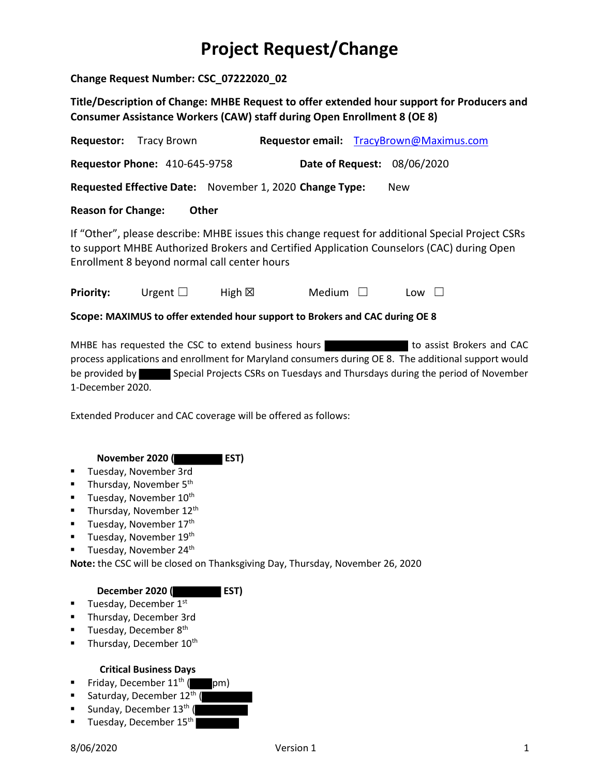## **Project Request/Change**

**Change Request Number: CSC\_07222020\_02**

**Title/Description of Change: MHBE Request to offer extended hour support for Producers and Consumer Assistance Workers (CAW) staff during Open Enrollment 8 (OE 8)**

| <b>Requestor:</b> Tracy Brown                                                                                                                                                                                                                 |                                      |                  |               |  | Requestor email: TracyBrown@Maximus.com |  |  |  |
|-----------------------------------------------------------------------------------------------------------------------------------------------------------------------------------------------------------------------------------------------|--------------------------------------|------------------|---------------|--|-----------------------------------------|--|--|--|
|                                                                                                                                                                                                                                               | <b>Requestor Phone: 410-645-9758</b> |                  |               |  | <b>Date of Request: 08/06/2020</b>      |  |  |  |
| Requested Effective Date: November 1, 2020 Change Type:<br><b>New</b>                                                                                                                                                                         |                                      |                  |               |  |                                         |  |  |  |
| <b>Reason for Change:</b><br>Other                                                                                                                                                                                                            |                                      |                  |               |  |                                         |  |  |  |
| If "Other", please describe: MHBE issues this change request for additional Special Project CSRs<br>to support MHBE Authorized Brokers and Certified Application Counselors (CAC) during Open<br>Enrollment 8 beyond normal call center hours |                                      |                  |               |  |                                         |  |  |  |
| <b>Priority:</b>                                                                                                                                                                                                                              | Urgent $\Box$                        | High $\boxtimes$ | Medium $\Box$ |  | $Low$                                   |  |  |  |
| Scope: MAXIMUS to offer extended hour support to Brokers and CAC during OE 8                                                                                                                                                                  |                                      |                  |               |  |                                         |  |  |  |

MHBE has requested the CSC to extend business hours **the subset of assist Brokers and CAC** process applications and enrollment for Maryland consumers during OE 8. The additional support would be provided by Special Projects CSRs on Tuesdays and Thursdays during the period of November 1-December 2020.

Extended Producer and CAC coverage will be offered as follows:

 **November 2020 ( EST)**

- Tuesday, November 3rd
- **■** Thursday, November  $5<sup>th</sup>$
- **■** Tuesday, November  $10<sup>th</sup>$
- **■** Thursday, November  $12<sup>th</sup>$
- **■** Tuesday, November  $17<sup>th</sup>$
- **■** Tuesday, November  $19<sup>th</sup>$
- **■** Tuesday, November 24<sup>th</sup>

**Note:** the CSC will be closed on Thanksgiving Day, Thursday, November 26, 2020

## **December 2020 ( EST)**

- **■** Tuesday, December  $1<sup>st</sup>$
- Thursday, December 3rd
- **■** Tuesday, December  $8^{th}$
- **■** Thursday, December  $10^{th}$

## **Critical Business Days**

- **•** Friday, December  $11^{th}$  ( pm)
- **•** Saturday, December  $12<sup>th</sup>$  (
- **■** Sunday, December  $13<sup>th</sup>$  (
- **■** Tuesday, December  $15<sup>th</sup>$